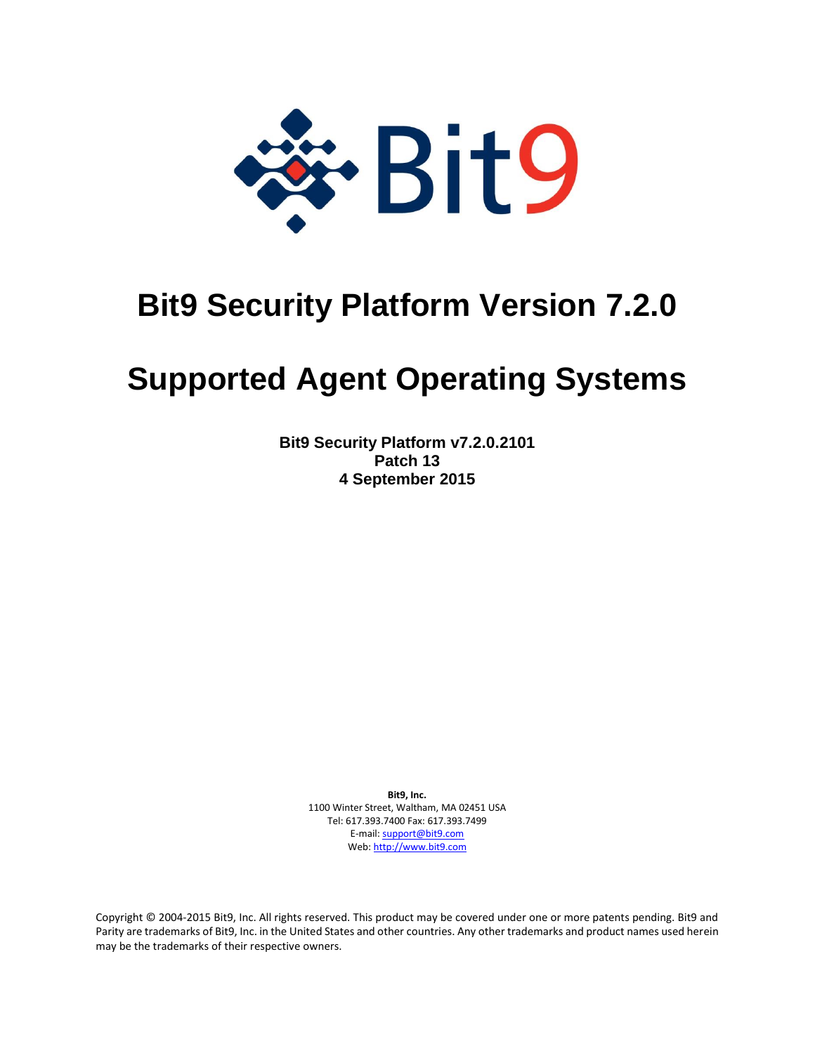

## **Bit9 Security Platform Version 7.2.0**

# **Supported Agent Operating Systems**

**Bit9 Security Platform v7.2.0.2101 Patch 13 4 September 2015**

> **Bit9, Inc.**  1100 Winter Street, Waltham, MA 02451 USA Tel: 617.393.7400 Fax: 617.393.7499 E-mail[: support@bit9.com](mailto:support@bit9.com) Web[: http://www.bit9.com](http://www.bit9.com/)

Copyright © 2004-2015 Bit9, Inc. All rights reserved. This product may be covered under one or more patents pending. Bit9 and Parity are trademarks of Bit9, Inc. in the United States and other countries. Any other trademarks and product names used herein may be the trademarks of their respective owners.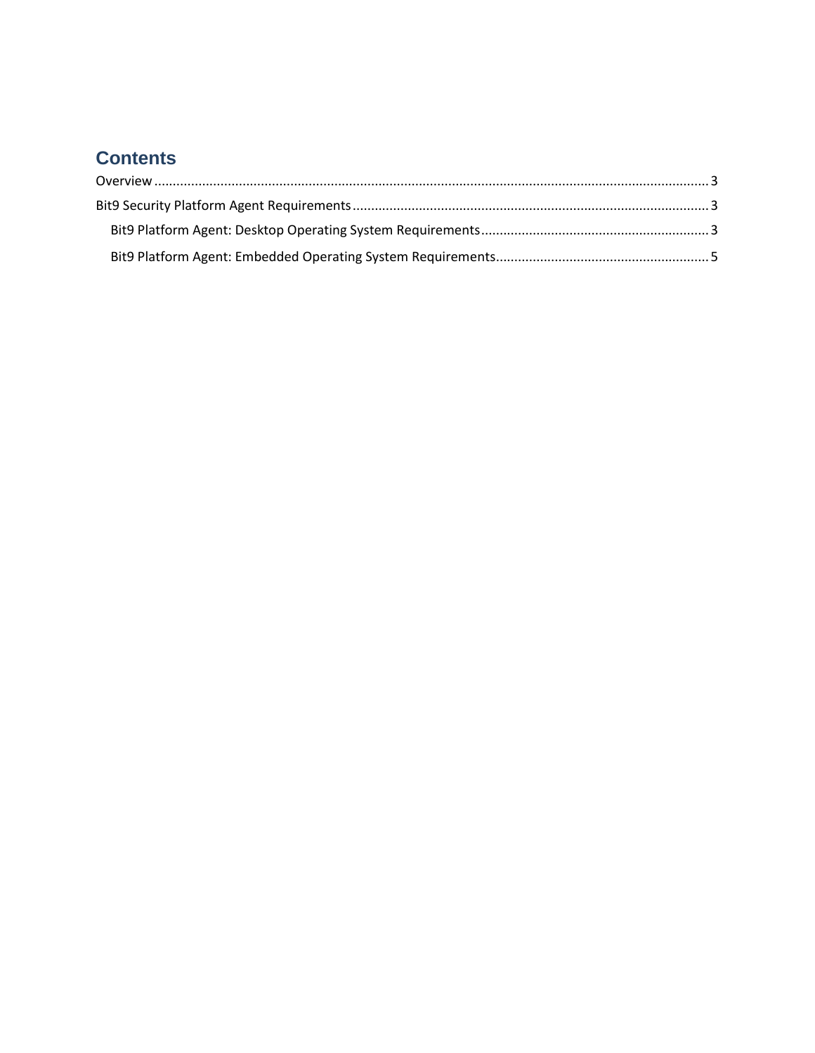### **Contents**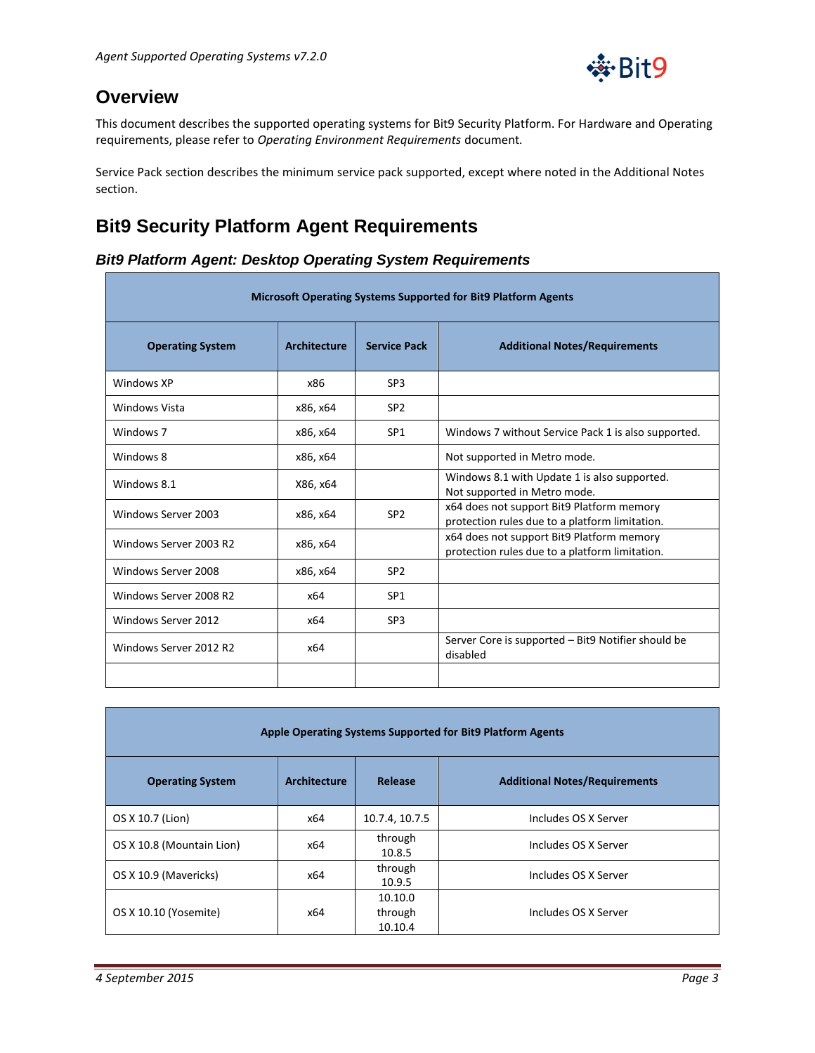

### <span id="page-2-0"></span>**Overview**

This document describes the supported operating systems for Bit9 Security Platform. For Hardware and Operating requirements, please refer to *Operating Environment Requirements* document*.*

Service Pack section describes the minimum service pack supported, except where noted in the Additional Notes section.

#### <span id="page-2-1"></span>**Bit9 Security Platform Agent Requirements**

#### <span id="page-2-2"></span>*Bit9 Platform Agent: Desktop Operating System Requirements*

| Microsoft Operating Systems Supported for Bit9 Platform Agents |                     |                     |                                                                                             |
|----------------------------------------------------------------|---------------------|---------------------|---------------------------------------------------------------------------------------------|
| <b>Operating System</b>                                        | <b>Architecture</b> | <b>Service Pack</b> | <b>Additional Notes/Requirements</b>                                                        |
| Windows XP                                                     | x86                 | SP3                 |                                                                                             |
| Windows Vista                                                  | x86, x64            | SP <sub>2</sub>     |                                                                                             |
| Windows <sub>7</sub>                                           | x86, x64            | SP <sub>1</sub>     | Windows 7 without Service Pack 1 is also supported.                                         |
| Windows 8                                                      | x86, x64            |                     | Not supported in Metro mode.                                                                |
| Windows 8.1                                                    | X86, x64            |                     | Windows 8.1 with Update 1 is also supported.<br>Not supported in Metro mode.                |
| Windows Server 2003                                            | x86, x64            | SP <sub>2</sub>     | x64 does not support Bit9 Platform memory<br>protection rules due to a platform limitation. |
| Windows Server 2003 R2                                         | x86, x64            |                     | x64 does not support Bit9 Platform memory<br>protection rules due to a platform limitation. |
| Windows Server 2008                                            | x86, x64            | SP <sub>2</sub>     |                                                                                             |
| Windows Server 2008 R2                                         | x64                 | SP <sub>1</sub>     |                                                                                             |
| Windows Server 2012                                            | x64                 | SP <sub>3</sub>     |                                                                                             |
| Windows Server 2012 R2                                         | x64                 |                     | Server Core is supported – Bit9 Notifier should be<br>disabled                              |
|                                                                |                     |                     |                                                                                             |

| Apple Operating Systems Supported for Bit9 Platform Agents |                     |                               |                                      |  |
|------------------------------------------------------------|---------------------|-------------------------------|--------------------------------------|--|
| <b>Operating System</b>                                    | <b>Architecture</b> | Release                       | <b>Additional Notes/Requirements</b> |  |
| OS X 10.7 (Lion)                                           | x64                 | 10.7.4, 10.7.5                | Includes OS X Server                 |  |
| OS X 10.8 (Mountain Lion)                                  | x64                 | through<br>10.8.5             | Includes OS X Server                 |  |
| OS X 10.9 (Mavericks)                                      | x64                 | through<br>10.9.5             | Includes OS X Server                 |  |
| OS X 10.10 (Yosemite)                                      | x64                 | 10.10.0<br>through<br>10.10.4 | Includes OS X Server                 |  |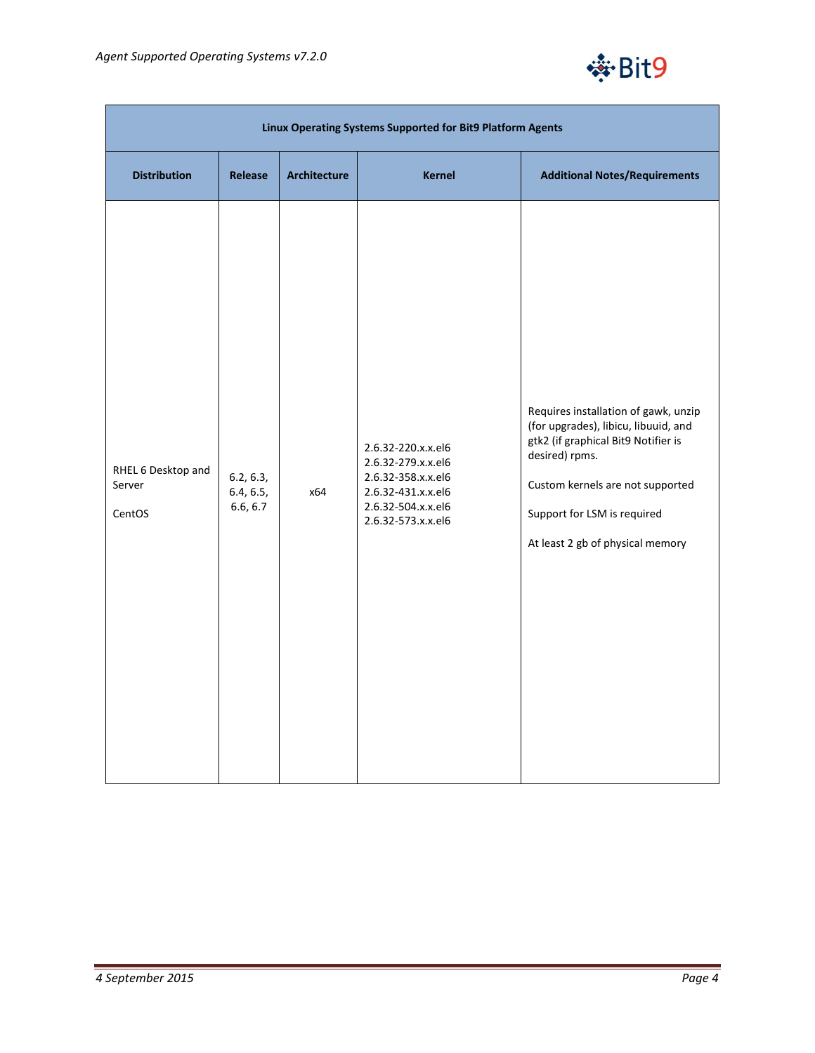

| Linux Operating Systems Supported for Bit9 Platform Agents |                                    |                     |                                                                                                                                  |                                                                                                                                                                                                                                              |
|------------------------------------------------------------|------------------------------------|---------------------|----------------------------------------------------------------------------------------------------------------------------------|----------------------------------------------------------------------------------------------------------------------------------------------------------------------------------------------------------------------------------------------|
| <b>Distribution</b>                                        | Release                            | <b>Architecture</b> | <b>Kernel</b>                                                                                                                    | <b>Additional Notes/Requirements</b>                                                                                                                                                                                                         |
| RHEL 6 Desktop and<br>Server<br>CentOS                     | 6.2, 6.3,<br>6.4, 6.5,<br>6.6, 6.7 | x64                 | 2.6.32-220.x.x.el6<br>2.6.32-279.x.x.el6<br>2.6.32-358.x.x.el6<br>2.6.32-431.x.x.el6<br>2.6.32-504.x.x.el6<br>2.6.32-573.x.x.el6 | Requires installation of gawk, unzip<br>(for upgrades), libicu, libuuid, and<br>gtk2 (if graphical Bit9 Notifier is<br>desired) rpms.<br>Custom kernels are not supported<br>Support for LSM is required<br>At least 2 gb of physical memory |